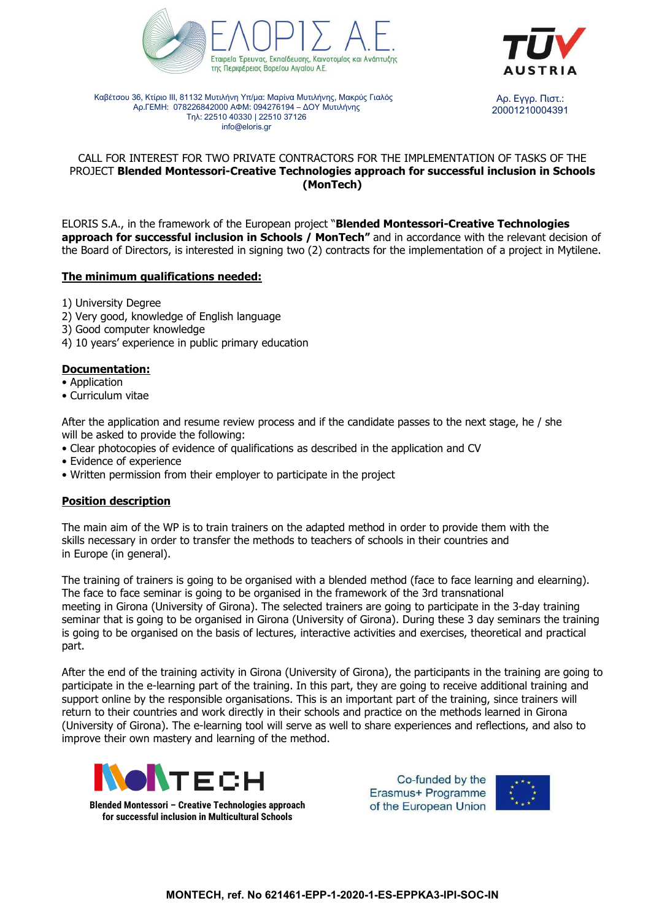



Καβέτσου 36, Κτίριο ΙΙΙ, 81132 Μυτιλήνη Υπ/μα: Μαρίνα Μυτιλήνης, Μακρύς Γιαλός Αρ.ΓΕΜΗ: 078226842000 ΑΦΜ: 094276194 – ΔΟΥ Μυτιλήνης Τηλ: 22510 40330 | 22510 37126 info@eloris.gr Αρ. Εγγρ. Πιστ.:

20001210004391

# CALL FOR INTEREST FOR TWO PRIVATE CONTRACTORS FOR THE IMPLEMENTATION OF TASKS OF THE PROJECT **Blended Montessori-Creative Technologies approach for successful inclusion in Schools (MonTech)**

ELORIS S.A., in the framework of the European project "**Blended Montessori-Creative Technologies approach for successful inclusion in Schools / MonTech"** and in accordance with the relevant decision of the Board of Directors, is interested in signing two (2) contracts for the implementation of a project in Mytilene.

## **The minimum qualifications needed:**

1) University Degree

- 2) Very good, knowledge of English language
- 3) Good computer knowledge
- 4) 10 years' experience in public primary education

### **Documentation:**

- Application
- Curriculum vitae

After the application and resume review process and if the candidate passes to the next stage, he / she will be asked to provide the following:

- Clear photocopies of evidence of qualifications as described in the application and CV
- Evidence of experience
- Written permission from their employer to participate in the project

#### **Position description**

The main aim of the WP is to train trainers on the adapted method in order to provide them with the skills necessary in order to transfer the methods to teachers of schools in their countries and in Europe (in general).

The training of trainers is going to be organised with a blended method (face to face learning and elearning). The face to face seminar is going to be organised in the framework of the 3rd transnational meeting in Girona (University of Girona). The selected trainers are going to participate in the 3-day training seminar that is going to be organised in Girona (University of Girona). During these 3 day seminars the training is going to be organised on the basis of lectures, interactive activities and exercises, theoretical and practical part.

After the end of the training activity in Girona (University of Girona), the participants in the training are going to participate in the e-learning part of the training. In this part, they are going to receive additional training and support online by the responsible organisations. This is an important part of the training, since trainers will return to their countries and work directly in their schools and practice on the methods learned in Girona (University of Girona). The e-learning tool will serve as well to share experiences and reflections, and also to improve their own mastery and learning of the method.



**Blended Montessori – Creative Technologies approach for successful inclusion in Multicultural Schools**

Co-funded by the Erasmus+ Programme